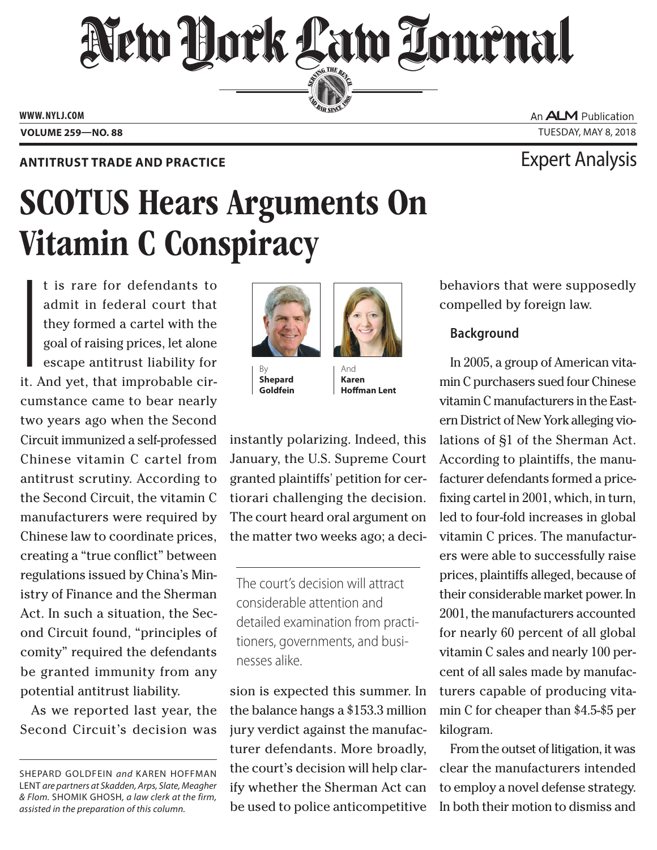## New York Law Lournal SERVING THE BET

**ED BAR SINCE 1888** 

**www. NYLJ.com**

## **Antitrust Trade and Practice** Expert Analysis

# SCOTUS Hears Arguments On Vitamin C Conspiracy

I<br>I<br>I<br>I<br>I<br>I t is rare for defendants to admit in federal court that they formed a cartel with the goal of raising prices, let alone escape antitrust liability for it. And yet, that improbable circumstance came to bear nearly two years ago when the Second Circuit immunized a self-professed Chinese vitamin C cartel from antitrust scrutiny. According to the Second Circuit, the vitamin C manufacturers were required by Chinese law to coordinate prices, creating a "true conflict" between regulations issued by China's Ministry of Finance and the Sherman Act. In such a situation, the Second Circuit found, "principles of comity" required the defendants be granted immunity from any potential antitrust liability.

As we reported last year, the Second Circuit's decision was



**Shepard Goldfein**

And **Karen Hoffman Lent**

instantly polarizing. Indeed, this January, the U.S. Supreme Court granted plaintiffs' petition for certiorari challenging the decision. The court heard oral argument on the matter two weeks ago; a deci-

The court's decision will attract considerable attention and detailed examination from practitioners, governments, and businesses alike.

sion is expected this summer. In the balance hangs a \$153.3 million jury verdict against the manufacturer defendants. More broadly, the court's decision will help clarify whether the Sherman Act can be used to police anticompetitive behaviors that were supposedly compelled by foreign law.

## **Background**

In 2005, a group of American vitamin C purchasers sued four Chinese vitamin C manufacturers in the Eastern District of New York alleging violations of §1 of the Sherman Act. According to plaintiffs, the manufacturer defendants formed a pricefixing cartel in 2001, which, in turn, led to four-fold increases in global vitamin C prices. The manufacturers were able to successfully raise prices, plaintiffs alleged, because of their considerable market power. In 2001, the manufacturers accounted for nearly 60 percent of all global vitamin C sales and nearly 100 percent of all sales made by manufacturers capable of producing vitamin C for cheaper than \$4.5-\$5 per kilogram.

From the outset of litigation, it was clear the manufacturers intended to employ a novel defense strategy. In both their motion to dismiss and

An **ALM** Publication **Volume 259—NO. 88** Tuesday, May 8, 2018

Shepard Goldfein *and* Karen Hoffman Lent *are partners at Skadden, Arps, Slate, Meagher & Flom.* Shomik Ghosh*, a law clerk at the firm, assisted in the preparation of this column.*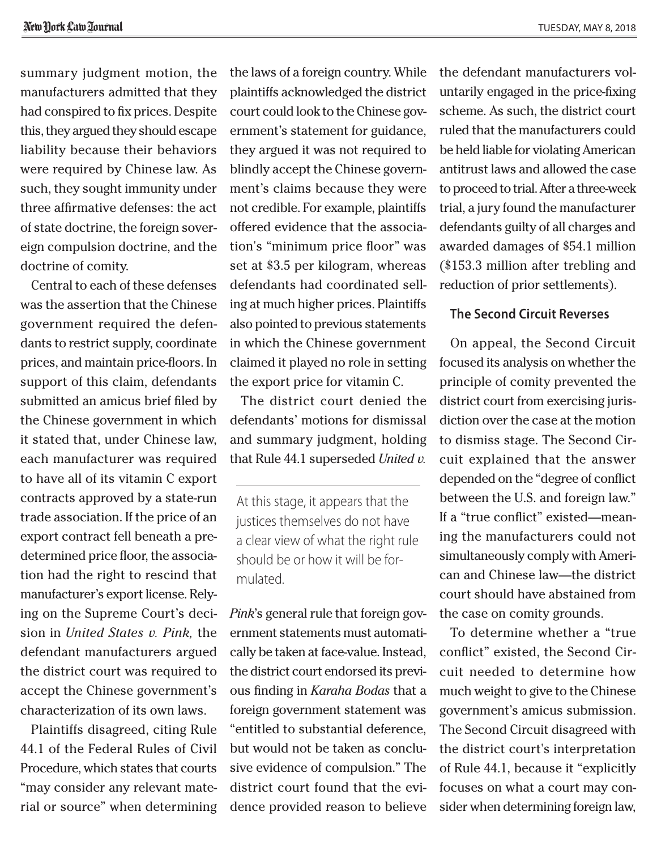summary judgment motion, the manufacturers admitted that they had conspired to fix prices. Despite this, they argued they should escape liability because their behaviors were required by Chinese law. As such, they sought immunity under three affirmative defenses: the act of state doctrine, the foreign sovereign compulsion doctrine, and the doctrine of comity.

Central to each of these defenses was the assertion that the Chinese government required the defendants to restrict supply, coordinate prices, and maintain price-floors. In support of this claim, defendants submitted an amicus brief filed by the Chinese government in which it stated that, under Chinese law, each manufacturer was required to have all of its vitamin C export contracts approved by a state-run trade association. If the price of an export contract fell beneath a predetermined price floor, the association had the right to rescind that manufacturer's export license. Relying on the Supreme Court's decision in *United States v. Pink,* the defendant manufacturers argued the district court was required to accept the Chinese government's characterization of its own laws.

Plaintiffs disagreed, citing Rule 44.1 of the Federal Rules of Civil Procedure, which states that courts "may consider any relevant material or source" when determining the laws of a foreign country. While plaintiffs acknowledged the district court could look to the Chinese government's statement for guidance, they argued it was not required to blindly accept the Chinese government's claims because they were not credible. For example, plaintiffs offered evidence that the association's "minimum price floor" was set at \$3.5 per kilogram, whereas defendants had coordinated selling at much higher prices. Plaintiffs also pointed to previous statements in which the Chinese government claimed it played no role in setting the export price for vitamin C.

The district court denied the defendants' motions for dismissal and summary judgment, holding that Rule 44.1 superseded *United v.* 

At this stage, it appears that the justices themselves do not have a clear view of what the right rule should be or how it will be formulated.

*Pink*'s general rule that foreign government statements must automatically be taken at face-value. Instead, the district court endorsed its previous finding in *Karaha Bodas* that a foreign government statement was "entitled to substantial deference, but would not be taken as conclusive evidence of compulsion." The district court found that the evidence provided reason to believe the defendant manufacturers voluntarily engaged in the price-fixing scheme. As such, the district court ruled that the manufacturers could be held liable for violating American antitrust laws and allowed the case to proceed to trial. After a three-week trial, a jury found the manufacturer defendants guilty of all charges and awarded damages of \$54.1 million (\$153.3 million after trebling and reduction of prior settlements).

## **The Second Circuit Reverses**

On appeal, the Second Circuit focused its analysis on whether the principle of comity prevented the district court from exercising jurisdiction over the case at the motion to dismiss stage. The Second Circuit explained that the answer depended on the "degree of conflict between the U.S. and foreign law." If a "true conflict" existed—meaning the manufacturers could not simultaneously comply with American and Chinese law—the district court should have abstained from the case on comity grounds.

To determine whether a "true conflict" existed, the Second Circuit needed to determine how much weight to give to the Chinese government's amicus submission. The Second Circuit disagreed with the district court's interpretation of Rule 44.1, because it "explicitly focuses on what a court may consider when determining foreign law,